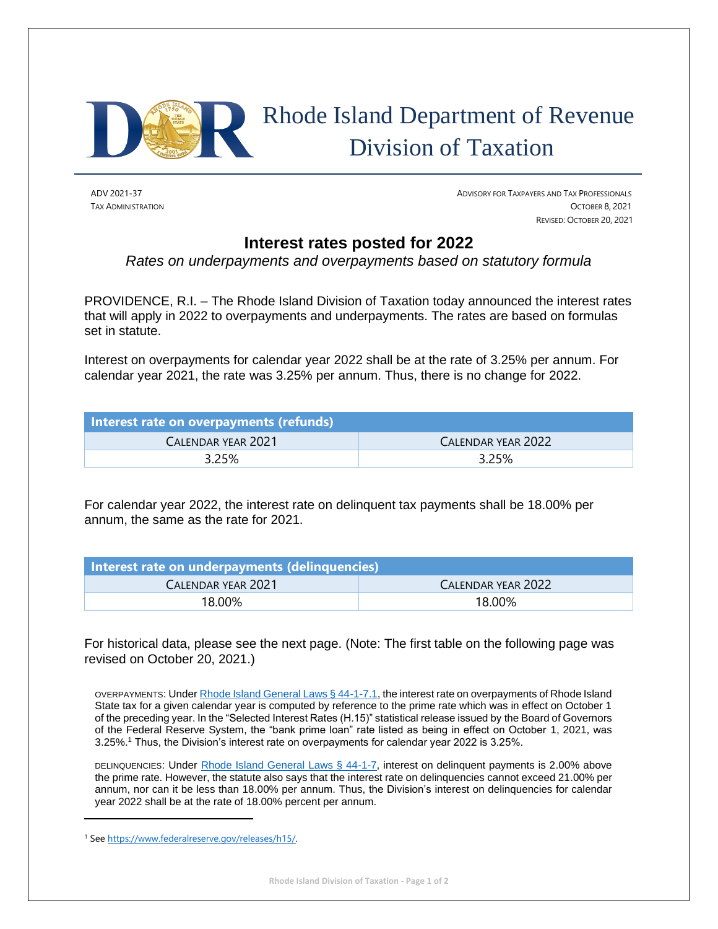

## Rhode Island Department of Revenue Division of Taxation

REVISED: OCTOBER 20, 2021 ADV 2021-37 ADVISORY FOR TAXPAYERS AND TAX PROFESSIONALS TAX ADMINISTRATION OCTOBER 8, 2021

## **Interest rates posted for 2022**

*Rates on underpayments and overpayments based on statutory formula*

PROVIDENCE, R.I. – The Rhode Island Division of Taxation today announced the interest rates that will apply in 2022 to overpayments and underpayments. The rates are based on formulas set in statute.

Interest on overpayments for calendar year 2022 shall be at the rate of 3.25% per annum. For calendar year 2021, the rate was 3.25% per annum. Thus, there is no change for 2022.

| Interest rate on overpayments (refunds) |                    |
|-----------------------------------------|--------------------|
| CALENDAR YEAR 2021                      | CALENDAR YEAR 2022 |
| 3.25%                                   | 3.25%              |

For calendar year 2022, the interest rate on delinquent tax payments shall be 18.00% per annum, the same as the rate for 2021.

| Interest rate on underpayments (delinquencies) |                    |  |
|------------------------------------------------|--------------------|--|
| CALENDAR YEAR 2021                             | CALENDAR YEAR 2022 |  |
| 18.00%                                         | 18.00%             |  |

For historical data, please see the next page. (Note: The first table on the following page was revised on October 20, 2021.)

OVERPAYMENTS: Unde[r Rhode Island General Laws § 44-1-7.1,](http://webserver.rilin.state.ri.us/Statutes/TITLE44/44-1/44-1-7.1.HTM) the interest rate on overpayments of Rhode Island State tax for a given calendar year is computed by reference to the prime rate which was in effect on October 1 of the preceding year. In the "Selected Interest Rates (H.15)" statistical release issued by the Board of Governors of the Federal Reserve System, the "bank prime loan" rate listed as being in effect on October 1, 2021, was 3.25%. <sup>1</sup> Thus, the Division's interest rate on overpayments for calendar year 2022 is 3.25%.

DELINQUENCIES: Under [Rhode Island General Laws § 44-1-7,](http://webserver.rilin.state.ri.us/Statutes/TITLE44/44-1/44-1-7.HTM) interest on delinquent payments is 2.00% above the prime rate. However, the statute also says that the interest rate on delinquencies cannot exceed 21.00% per annum, nor can it be less than 18.00% per annum. Thus, the Division's interest on delinquencies for calendar year 2022 shall be at the rate of 18.00% percent per annum.

<sup>1</sup> Se[e https://www.federalreserve.gov/releases/h15/.](https://www.federalreserve.gov/releases/h15/)